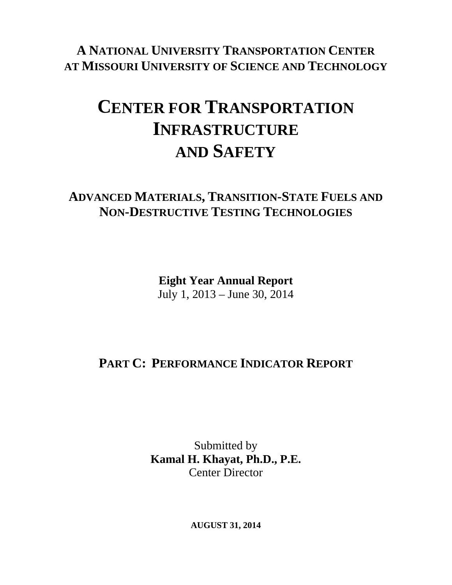**A NATIONAL UNIVERSITY TRANSPORTATION CENTER AT MISSOURI UNIVERSITY OF SCIENCE AND TECHNOLOGY**

## **CENTER FOR TRANSPORTATION INFRASTRUCTURE AND SAFETY**

## **ADVANCED MATERIALS, TRANSITION-STATE FUELS AND NON-DESTRUCTIVE TESTING TECHNOLOGIES**

**Eight Year Annual Report**  July 1, 2013 – June 30, 2014

## **PART C: PERFORMANCE INDICATOR REPORT**

Submitted by **Kamal H. Khayat, Ph.D., P.E.**  Center Director

**AUGUST 31, 2014**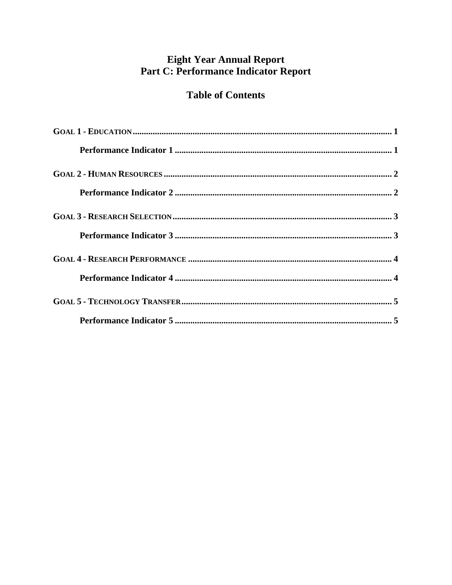# Eight Year Annual Report<br>Part C: Performance Indicator Report

#### **Table of Contents**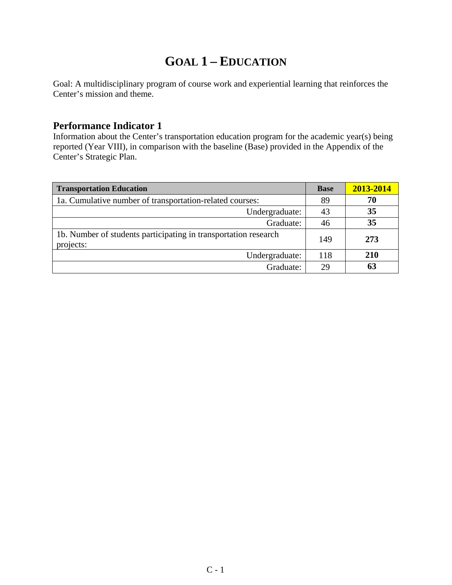## **GOAL 1 – EDUCATION**

Goal: A multidisciplinary program of course work and experiential learning that reinforces the Center's mission and theme.

#### **Performance Indicator 1**

Information about the Center's transportation education program for the academic year(s) being reported (Year VIII), in comparison with the baseline (Base) provided in the Appendix of the Center's Strategic Plan.

| <b>Transportation Education</b>                                              | <b>Base</b> | 2013-2014 |
|------------------------------------------------------------------------------|-------------|-----------|
| 1a. Cumulative number of transportation-related courses:                     | 89          | 70        |
| Undergraduate:                                                               | 43          | 35        |
| Graduate:                                                                    | 46          | 35        |
| 1b. Number of students participating in transportation research<br>projects: | 149         | 273       |
| Undergraduate:                                                               | 118         | 210       |
| Graduate:                                                                    | 29          | 63        |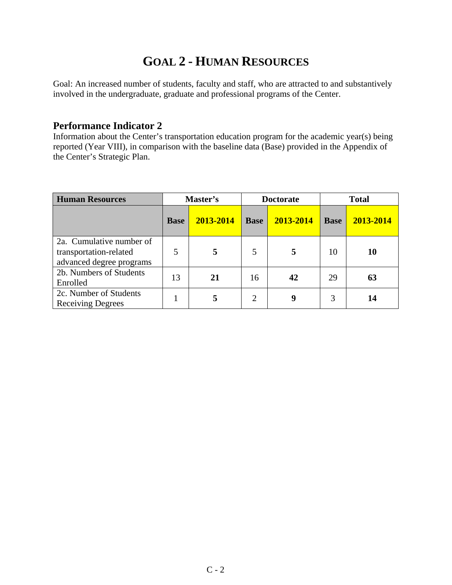### **GOAL 2 - HUMAN RESOURCES**

Goal: An increased number of students, faculty and staff, who are attracted to and substantively involved in the undergraduate, graduate and professional programs of the Center.

#### **Performance Indicator 2**

Information about the Center's transportation education program for the academic year(s) being reported (Year VIII), in comparison with the baseline data (Base) provided in the Appendix of the Center's Strategic Plan.

| <b>Human Resources</b>                                                         | Master's    |           | <b>Doctorate</b> |           |             | <b>Total</b> |
|--------------------------------------------------------------------------------|-------------|-----------|------------------|-----------|-------------|--------------|
|                                                                                | <b>Base</b> | 2013-2014 | <b>Base</b>      | 2013-2014 | <b>Base</b> | 2013-2014    |
| 2a. Cumulative number of<br>transportation-related<br>advanced degree programs | 5           |           | 5                | 5         | 10          | 10           |
| 2b. Numbers of Students<br>Enrolled                                            | 13          | 21        | 16               | 42        | 29          | 63           |
| 2c. Number of Students<br><b>Receiving Degrees</b>                             |             |           | $\overline{2}$   | 9         | 3           | 14           |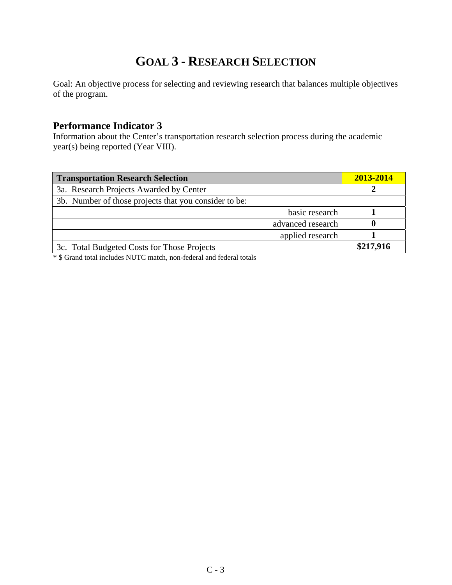## **GOAL 3 - RESEARCH SELECTION**

Goal: An objective process for selecting and reviewing research that balances multiple objectives of the program.

#### **Performance Indicator 3**

Information about the Center's transportation research selection process during the academic year(s) being reported (Year VIII).

| <b>Transportation Research Selection</b>              | 2013-2014 |
|-------------------------------------------------------|-----------|
| 3a. Research Projects Awarded by Center               |           |
| 3b. Number of those projects that you consider to be: |           |
| basic research                                        |           |
| advanced research                                     |           |
| applied research                                      |           |
| 3c. Total Budgeted Costs for Those Projects           | \$217,916 |

\* \$ Grand total includes NUTC match, non-federal and federal totals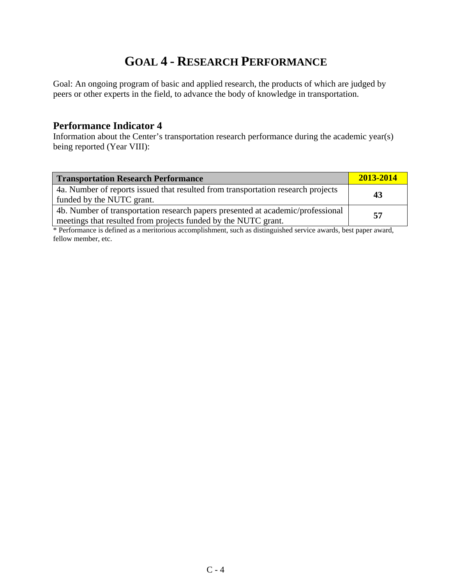## **GOAL 4 - RESEARCH PERFORMANCE**

Goal: An ongoing program of basic and applied research, the products of which are judged by peers or other experts in the field, to advance the body of knowledge in transportation.

#### **Performance Indicator 4**

Information about the Center's transportation research performance during the academic year(s) being reported (Year VIII):

| <b>Transportation Research Performance</b>                                                                                                        | 2013-2014 |
|---------------------------------------------------------------------------------------------------------------------------------------------------|-----------|
| 4a. Number of reports issued that resulted from transportation research projects<br>funded by the NUTC grant.                                     | 43        |
| 4b. Number of transportation research papers presented at academic/professional<br>meetings that resulted from projects funded by the NUTC grant. | 57        |

\* Performance is defined as a meritorious accomplishment, such as distinguished service awards, best paper award, fellow member, etc.